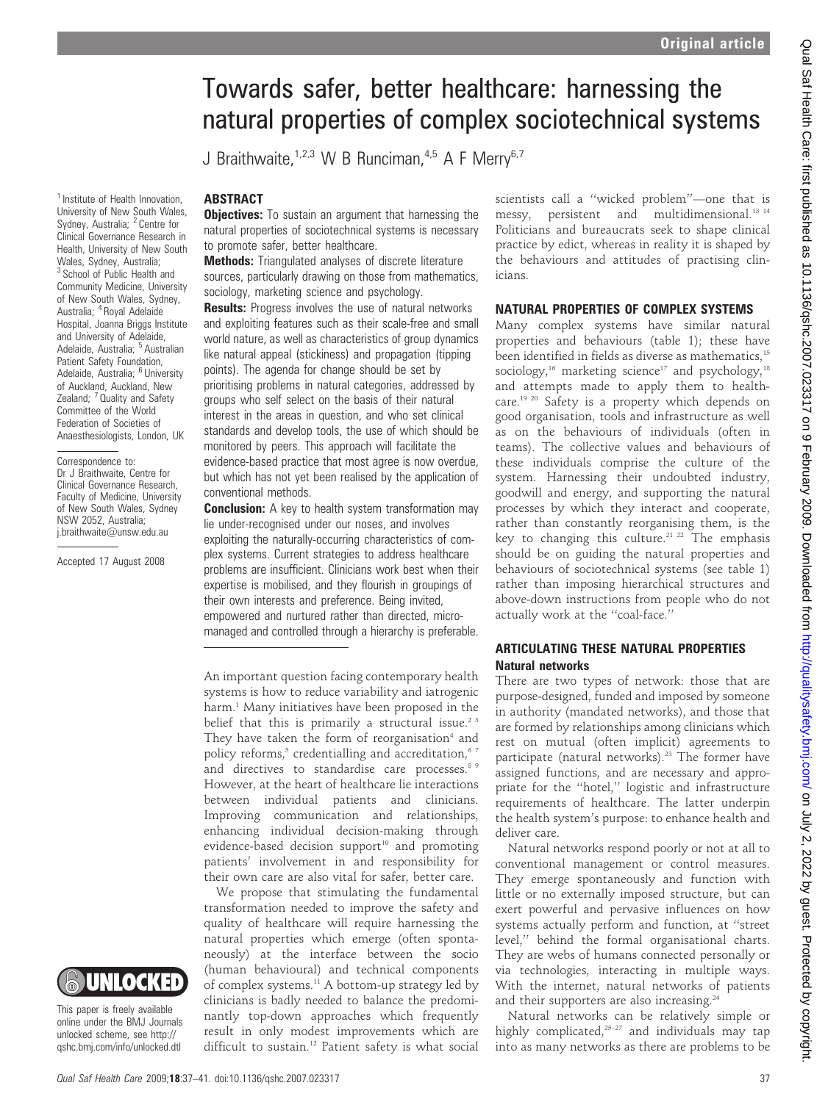# Towards safer, better healthcare: harnessing the natural properties of complex sociotechnical systems

J Braithwaite,  $1,2,3,3,4$  B Runciman,  $4,5,4$  F Merry<sup>6,7</sup>

## ABSTRACT

**Objectives:** To sustain an argument that harnessing the natural properties of sociotechnical systems is necessary to promote safer, better healthcare.

Methods: Triangulated analyses of discrete literature sources, particularly drawing on those from mathematics, sociology, marketing science and psychology.

**Results:** Progress involves the use of natural networks and exploiting features such as their scale-free and small world nature, as well as characteristics of group dynamics like natural appeal (stickiness) and propagation (tipping points). The agenda for change should be set by prioritising problems in natural categories, addressed by groups who self select on the basis of their natural interest in the areas in question, and who set clinical standards and develop tools, the use of which should be monitored by peers. This approach will facilitate the evidence-based practice that most agree is now overdue, but which has not yet been realised by the application of conventional methods.

**Conclusion:** A key to health system transformation may lie under-recognised under our noses, and involves exploiting the naturally-occurring characteristics of complex systems. Current strategies to address healthcare problems are insufficient. Clinicians work best when their expertise is mobilised, and they flourish in groupings of their own interests and preference. Being invited, empowered and nurtured rather than directed, micromanaged and controlled through a hierarchy is preferable.

An important question facing contemporary health systems is how to reduce variability and iatrogenic harm.<sup>1</sup> Many initiatives have been proposed in the belief that this is primarily a structural issue.<sup>23</sup> They have taken the form of reorganisation<sup>4</sup> and policy reforms, $5$  credentialling and accreditation, $67$ and directives to standardise care processes.<sup>89</sup> However, at the heart of healthcare lie interactions between individual patients and clinicians. Improving communication and relationships, enhancing individual decision-making through evidence-based decision support $10$  and promoting patients' involvement in and responsibility for their own care are also vital for safer, better care.

We propose that stimulating the fundamental transformation needed to improve the safety and quality of healthcare will require harnessing the natural properties which emerge (often spontaneously) at the interface between the socio (human behavioural) and technical components of complex systems.<sup>11</sup> A bottom-up strategy led by clinicians is badly needed to balance the predominantly top-down approaches which frequently result in only modest improvements which are difficult to sustain.<sup>12</sup> Patient safety is what social

scientists call a ''wicked problem''—one that is messy, persistent and multidimensional.<sup>13 14</sup> Politicians and bureaucrats seek to shape clinical practice by edict, whereas in reality it is shaped by the behaviours and attitudes of practising clinicians.

## NATURAL PROPERTIES OF COMPLEX SYSTEMS

Many complex systems have similar natural properties and behaviours (table 1); these have been identified in fields as diverse as mathematics.<sup>15</sup> sociology,<sup>16</sup> marketing science<sup>17</sup> and psychology,<sup>18</sup> and attempts made to apply them to healthcare.<sup>19 20</sup> Safety is a property which depends on good organisation, tools and infrastructure as well as on the behaviours of individuals (often in teams). The collective values and behaviours of these individuals comprise the culture of the system. Harnessing their undoubted industry, goodwill and energy, and supporting the natural processes by which they interact and cooperate, rather than constantly reorganising them, is the key to changing this culture.<sup>21 22</sup> The emphasis should be on guiding the natural properties and behaviours of sociotechnical systems (see table 1) rather than imposing hierarchical structures and above-down instructions from people who do not actually work at the ''coal-face.''

## ARTICULATING THESE NATURAL PROPERTIES Natural networks

There are two types of network: those that are purpose-designed, funded and imposed by someone in authority (mandated networks), and those that are formed by relationships among clinicians which rest on mutual (often implicit) agreements to participate (natural networks).<sup>23</sup> The former have assigned functions, and are necessary and appropriate for the ''hotel,'' logistic and infrastructure requirements of healthcare. The latter underpin the health system's purpose: to enhance health and deliver care.

Natural networks respond poorly or not at all to conventional management or control measures. They emerge spontaneously and function with little or no externally imposed structure, but can exert powerful and pervasive influences on how systems actually perform and function, at ''street level,'' behind the formal organisational charts. They are webs of humans connected personally or via technologies, interacting in multiple ways. With the internet, natural networks of patients and their supporters are also increasing.<sup>24</sup>

Natural networks can be relatively simple or highly complicated, $25-27$  and individuals may tap into as many networks as there are problems to be

<sup>1</sup> Institute of Health Innovation University of New South Wales, Sydney, Australia; <sup>2</sup> Centre for Clinical Governance Research in Health, University of New South Wales, Sydney, Australia; <sup>3</sup> School of Public Health and Community Medicine, University of New South Wales, Sydney, Australia; <sup>4</sup> Royal Adelaide Hospital, Joanna Briggs Institute and University of Adelaide, Adelaide, Australia; <sup>5</sup> Australian Patient Safety Foundation, Adelaide, Australia; <sup>6</sup> University of Auckland, Auckland, New Zealand; 7 Quality and Safety Committee of the World Federation of Societies of Anaesthesiologists, London, UK

Accepted 17 August 2008



This paper is freely available online under the BMJ Journals unlocked scheme, see http:// qshc.bmj.com/info/unlocked.dtl

Correspondence to: Dr J Braithwaite, Centre for Clinical Governance Research, Faculty of Medicine, University of New South Wales, Sydney NSW 2052, Australia; j.braithwaite@unsw.edu.au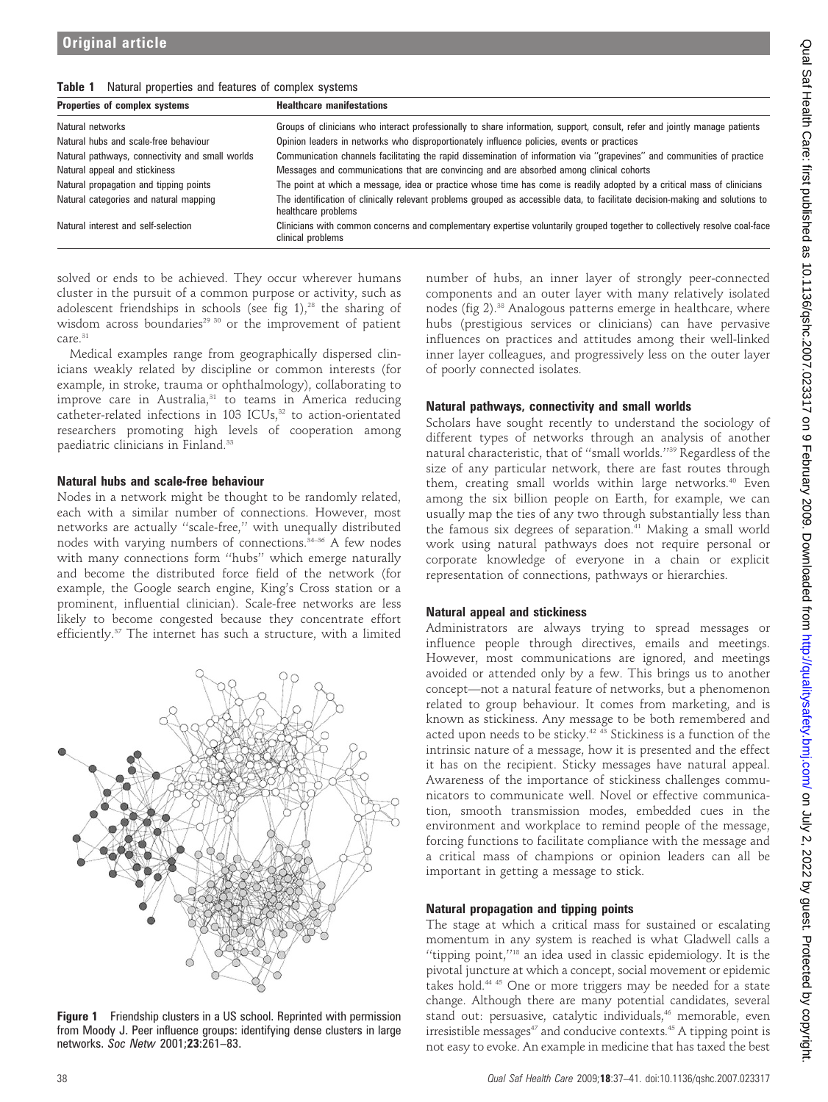| Table 1 Natural properties and features of complex systems |  |
|------------------------------------------------------------|--|
|------------------------------------------------------------|--|

| <b>Properties of complex systems</b>            | <b>Healthcare manifestations</b>                                                                                                                     |
|-------------------------------------------------|------------------------------------------------------------------------------------------------------------------------------------------------------|
| Natural networks                                | Groups of clinicians who interact professionally to share information, support, consult, refer and jointly manage patients                           |
| Natural hubs and scale-free behaviour           | Opinion leaders in networks who disproportionately influence policies, events or practices                                                           |
| Natural pathways, connectivity and small worlds | Communication channels facilitating the rapid dissemination of information via "grapevines" and communities of practice                              |
| Natural appeal and stickiness                   | Messages and communications that are convincing and are absorbed among clinical cohorts                                                              |
| Natural propagation and tipping points          | The point at which a message, idea or practice whose time has come is readily adopted by a critical mass of clinicians                               |
| Natural categories and natural mapping          | The identification of clinically relevant problems grouped as accessible data, to facilitate decision-making and solutions to<br>healthcare problems |
| Natural interest and self-selection             | Clinicians with common concerns and complementary expertise voluntarily grouped together to collectively resolve coal-face<br>clinical problems      |
|                                                 |                                                                                                                                                      |

solved or ends to be achieved. They occur wherever humans cluster in the pursuit of a common purpose or activity, such as adolescent friendships in schools (see fig  $1$ ),<sup>28</sup> the sharing of wisdom across boundaries<sup>29 30</sup> or the improvement of patient care.<sup>31</sup>

Medical examples range from geographically dispersed clinicians weakly related by discipline or common interests (for example, in stroke, trauma or ophthalmology), collaborating to improve care in Australia, $31$  to teams in America reducing catheter-related infections in 103 ICUs,<sup>32</sup> to action-orientated researchers promoting high levels of cooperation among paediatric clinicians in Finland.<sup>33</sup>

### Natural hubs and scale-free behaviour

Nodes in a network might be thought to be randomly related, each with a similar number of connections. However, most networks are actually ''scale-free,'' with unequally distributed nodes with varying numbers of connections.<sup>34-36</sup> A few nodes with many connections form ''hubs'' which emerge naturally and become the distributed force field of the network (for example, the Google search engine, King's Cross station or a prominent, influential clinician). Scale-free networks are less likely to become congested because they concentrate effort efficiently.<sup>37</sup> The internet has such a structure, with a limited



Figure 1 Friendship clusters in a US school. Reprinted with permission from Moody J. Peer influence groups: identifying dense clusters in large networks. Soc Netw 2001;23:261–83.

number of hubs, an inner layer of strongly peer-connected components and an outer layer with many relatively isolated nodes (fig 2).38 Analogous patterns emerge in healthcare, where hubs (prestigious services or clinicians) can have pervasive influences on practices and attitudes among their well-linked inner layer colleagues, and progressively less on the outer layer of poorly connected isolates.

### Natural pathways, connectivity and small worlds

Scholars have sought recently to understand the sociology of different types of networks through an analysis of another natural characteristic, that of ''small worlds.''39 Regardless of the size of any particular network, there are fast routes through them, creating small worlds within large networks.<sup>40</sup> Even among the six billion people on Earth, for example, we can usually map the ties of any two through substantially less than the famous six degrees of separation.<sup>41</sup> Making a small world work using natural pathways does not require personal or corporate knowledge of everyone in a chain or explicit representation of connections, pathways or hierarchies.

### Natural appeal and stickiness

Administrators are always trying to spread messages or influence people through directives, emails and meetings. However, most communications are ignored, and meetings avoided or attended only by a few. This brings us to another concept—not a natural feature of networks, but a phenomenon related to group behaviour. It comes from marketing, and is known as stickiness. Any message to be both remembered and acted upon needs to be sticky.42 43 Stickiness is a function of the intrinsic nature of a message, how it is presented and the effect it has on the recipient. Sticky messages have natural appeal. Awareness of the importance of stickiness challenges communicators to communicate well. Novel or effective communication, smooth transmission modes, embedded cues in the environment and workplace to remind people of the message, forcing functions to facilitate compliance with the message and a critical mass of champions or opinion leaders can all be important in getting a message to stick.

### Natural propagation and tipping points

The stage at which a critical mass for sustained or escalating momentum in any system is reached is what Gladwell calls a ''tipping point,''18 an idea used in classic epidemiology. It is the pivotal juncture at which a concept, social movement or epidemic takes hold.44 45 One or more triggers may be needed for a state change. Although there are many potential candidates, several stand out: persuasive, catalytic individuals,<sup>46</sup> memorable, even irresistible messages<sup>47</sup> and conducive contexts.<sup>45</sup> A tipping point is not easy to evoke. An example in medicine that has taxed the best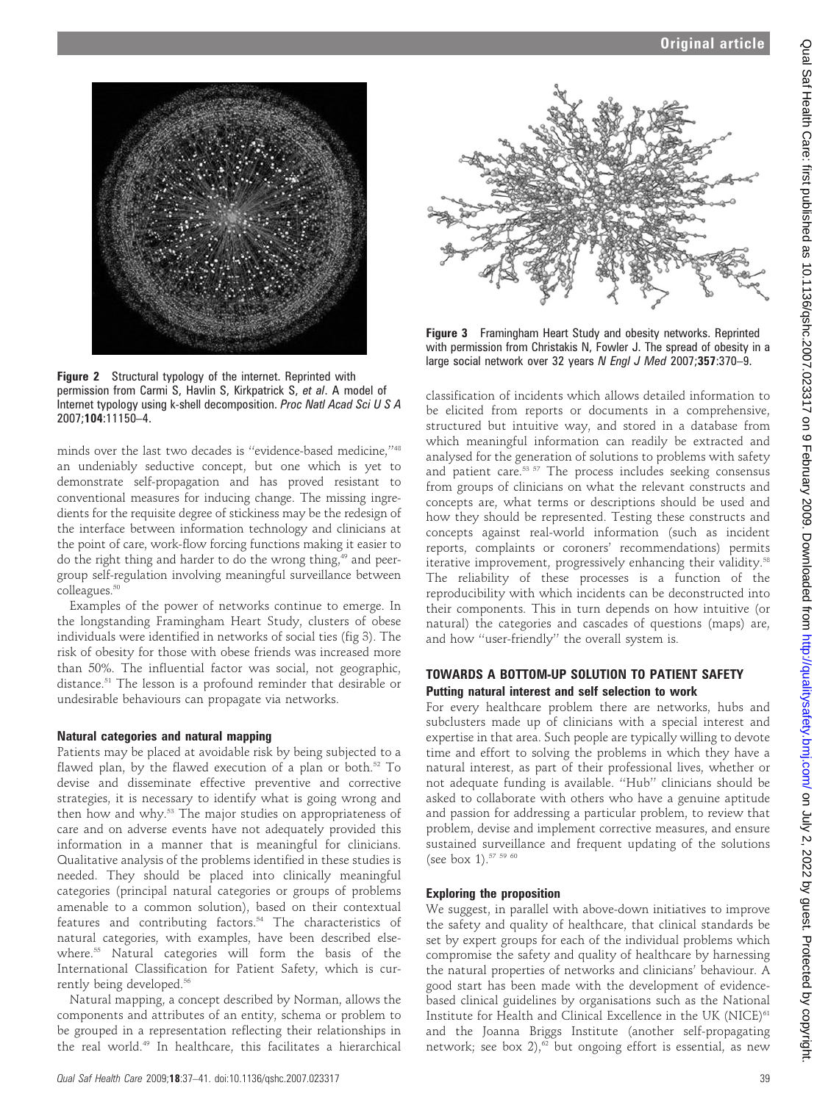

Figure 2 Structural typology of the internet. Reprinted with permission from Carmi S, Havlin S, Kirkpatrick S, et al. A model of Internet typology using k-shell decomposition. Proc Natl Acad Sci U S A 2007;104:11150–4.

minds over the last two decades is ''evidence-based medicine,''48 an undeniably seductive concept, but one which is yet to demonstrate self-propagation and has proved resistant to conventional measures for inducing change. The missing ingredients for the requisite degree of stickiness may be the redesign of the interface between information technology and clinicians at the point of care, work-flow forcing functions making it easier to do the right thing and harder to do the wrong thing,<sup>49</sup> and peergroup self-regulation involving meaningful surveillance between colleagues.50

Examples of the power of networks continue to emerge. In the longstanding Framingham Heart Study, clusters of obese individuals were identified in networks of social ties (fig 3). The risk of obesity for those with obese friends was increased more than 50%. The influential factor was social, not geographic, distance.<sup>51</sup> The lesson is a profound reminder that desirable or undesirable behaviours can propagate via networks.

## Natural categories and natural mapping

Patients may be placed at avoidable risk by being subjected to a flawed plan, by the flawed execution of a plan or both. $52$  To devise and disseminate effective preventive and corrective strategies, it is necessary to identify what is going wrong and then how and why.53 The major studies on appropriateness of care and on adverse events have not adequately provided this information in a manner that is meaningful for clinicians. Qualitative analysis of the problems identified in these studies is needed. They should be placed into clinically meaningful categories (principal natural categories or groups of problems amenable to a common solution), based on their contextual features and contributing factors.<sup>54</sup> The characteristics of natural categories, with examples, have been described elsewhere.55 Natural categories will form the basis of the International Classification for Patient Safety, which is currently being developed.<sup>56</sup>

Natural mapping, a concept described by Norman, allows the components and attributes of an entity, schema or problem to be grouped in a representation reflecting their relationships in the real world.49 In healthcare, this facilitates a hierarchical



**Figure 3** Framingham Heart Study and obesity networks. Reprinted with permission from Christakis N, Fowler J. The spread of obesity in a large social network over 32 years N Engl J Med 2007;357:370-9.

classification of incidents which allows detailed information to be elicited from reports or documents in a comprehensive, structured but intuitive way, and stored in a database from which meaningful information can readily be extracted and analysed for the generation of solutions to problems with safety and patient care.<sup>53 57</sup> The process includes seeking consensus from groups of clinicians on what the relevant constructs and concepts are, what terms or descriptions should be used and how they should be represented. Testing these constructs and concepts against real-world information (such as incident reports, complaints or coroners' recommendations) permits iterative improvement, progressively enhancing their validity.<sup>58</sup> The reliability of these processes is a function of the reproducibility with which incidents can be deconstructed into their components. This in turn depends on how intuitive (or natural) the categories and cascades of questions (maps) are, and how ''user-friendly'' the overall system is.

## TOWARDS A BOTTOM-UP SOLUTION TO PATIENT SAFETY Putting natural interest and self selection to work

For every healthcare problem there are networks, hubs and subclusters made up of clinicians with a special interest and expertise in that area. Such people are typically willing to devote time and effort to solving the problems in which they have a natural interest, as part of their professional lives, whether or not adequate funding is available. ''Hub'' clinicians should be asked to collaborate with others who have a genuine aptitude and passion for addressing a particular problem, to review that problem, devise and implement corrective measures, and ensure sustained surveillance and frequent updating of the solutions (see box 1).<sup>57 59 60</sup>

## Exploring the proposition

We suggest, in parallel with above-down initiatives to improve the safety and quality of healthcare, that clinical standards be set by expert groups for each of the individual problems which compromise the safety and quality of healthcare by harnessing the natural properties of networks and clinicians' behaviour. A good start has been made with the development of evidencebased clinical guidelines by organisations such as the National Institute for Health and Clinical Excellence in the UK (NICE)<sup>61</sup> and the Joanna Briggs Institute (another self-propagating network; see box 2), $\infty$  but ongoing effort is essential, as new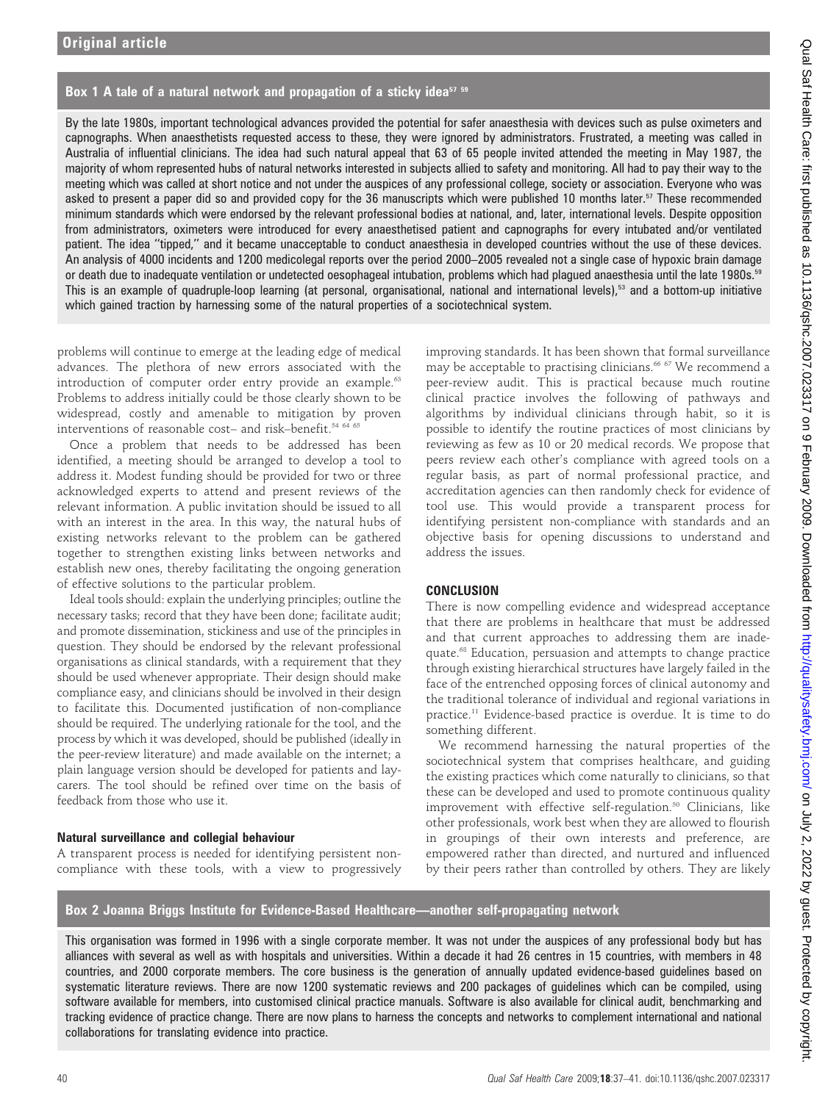## Box 1 A tale of a natural network and propagation of a sticky idea<sup>57 59</sup>

By the late 1980s, important technological advances provided the potential for safer anaesthesia with devices such as pulse oximeters and capnographs. When anaesthetists requested access to these, they were ignored by administrators. Frustrated, a meeting was called in Australia of influential clinicians. The idea had such natural appeal that 63 of 65 people invited attended the meeting in May 1987, the majority of whom represented hubs of natural networks interested in subjects allied to safety and monitoring. All had to pay their way to the meeting which was called at short notice and not under the auspices of any professional college, society or association. Everyone who was asked to present a paper did so and provided copy for the 36 manuscripts which were published 10 months later.<sup>57</sup> These recommended minimum standards which were endorsed by the relevant professional bodies at national, and, later, international levels. Despite opposition from administrators, oximeters were introduced for every anaesthetised patient and capnographs for every intubated and/or ventilated patient. The idea ''tipped,'' and it became unacceptable to conduct anaesthesia in developed countries without the use of these devices. An analysis of 4000 incidents and 1200 medicolegal reports over the period 2000–2005 revealed not a single case of hypoxic brain damage or death due to inadequate ventilation or undetected oesophageal intubation, problems which had plagued anaesthesia until the late 1980s.<sup>59</sup> This is an example of quadruple-loop learning (at personal, organisational, national and international levels),<sup>53</sup> and a bottom-up initiative which gained traction by harnessing some of the natural properties of a sociotechnical system.

problems will continue to emerge at the leading edge of medical advances. The plethora of new errors associated with the introduction of computer order entry provide an example.<sup>63</sup> Problems to address initially could be those clearly shown to be widespread, costly and amenable to mitigation by proven interventions of reasonable cost- and risk-benefit.<sup>54 64 65</sup>

Once a problem that needs to be addressed has been identified, a meeting should be arranged to develop a tool to address it. Modest funding should be provided for two or three acknowledged experts to attend and present reviews of the relevant information. A public invitation should be issued to all with an interest in the area. In this way, the natural hubs of existing networks relevant to the problem can be gathered together to strengthen existing links between networks and establish new ones, thereby facilitating the ongoing generation of effective solutions to the particular problem.

Ideal tools should: explain the underlying principles; outline the necessary tasks; record that they have been done; facilitate audit; and promote dissemination, stickiness and use of the principles in question. They should be endorsed by the relevant professional organisations as clinical standards, with a requirement that they should be used whenever appropriate. Their design should make compliance easy, and clinicians should be involved in their design to facilitate this. Documented justification of non-compliance should be required. The underlying rationale for the tool, and the process by which it was developed, should be published (ideally in the peer-review literature) and made available on the internet; a plain language version should be developed for patients and laycarers. The tool should be refined over time on the basis of feedback from those who use it.

## Natural surveillance and collegial behaviour

A transparent process is needed for identifying persistent noncompliance with these tools, with a view to progressively improving standards. It has been shown that formal surveillance may be acceptable to practising clinicians.<sup>66 67</sup> We recommend a peer-review audit. This is practical because much routine clinical practice involves the following of pathways and algorithms by individual clinicians through habit, so it is possible to identify the routine practices of most clinicians by reviewing as few as 10 or 20 medical records. We propose that peers review each other's compliance with agreed tools on a regular basis, as part of normal professional practice, and accreditation agencies can then randomly check for evidence of tool use. This would provide a transparent process for identifying persistent non-compliance with standards and an objective basis for opening discussions to understand and address the issues.

### **CONCLUSION**

There is now compelling evidence and widespread acceptance that there are problems in healthcare that must be addressed and that current approaches to addressing them are inadequate.68 Education, persuasion and attempts to change practice through existing hierarchical structures have largely failed in the face of the entrenched opposing forces of clinical autonomy and the traditional tolerance of individual and regional variations in practice.11 Evidence-based practice is overdue. It is time to do something different.

We recommend harnessing the natural properties of the sociotechnical system that comprises healthcare, and guiding the existing practices which come naturally to clinicians, so that these can be developed and used to promote continuous quality improvement with effective self-regulation.<sup>50</sup> Clinicians, like other professionals, work best when they are allowed to flourish in groupings of their own interests and preference, are empowered rather than directed, and nurtured and influenced by their peers rather than controlled by others. They are likely

## Box 2 Joanna Briggs Institute for Evidence-Based Healthcare—another self-propagating network

This organisation was formed in 1996 with a single corporate member. It was not under the auspices of any professional body but has alliances with several as well as with hospitals and universities. Within a decade it had 26 centres in 15 countries, with members in 48 countries, and 2000 corporate members. The core business is the generation of annually updated evidence-based guidelines based on systematic literature reviews. There are now 1200 systematic reviews and 200 packages of guidelines which can be compiled, using software available for members, into customised clinical practice manuals. Software is also available for clinical audit, benchmarking and tracking evidence of practice change. There are now plans to harness the concepts and networks to complement international and national collaborations for translating evidence into practice.